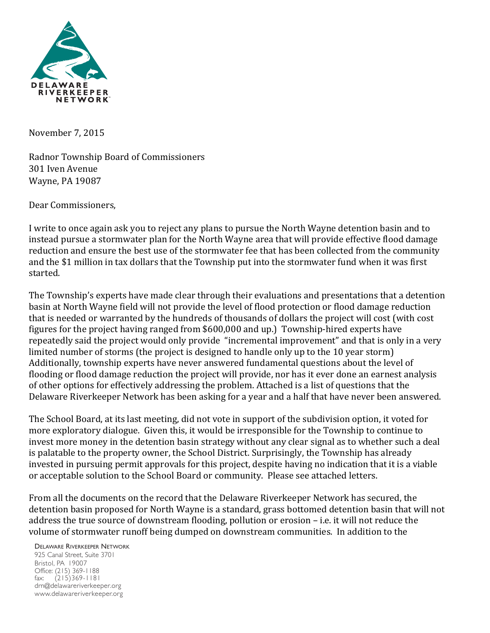

November 7, 2015

Radnor Township Board of Commissioners 301 Iven Avenue Wayne, PA 19087

Dear Commissioners.

I write to once again ask you to reject any plans to pursue the North Wayne detention basin and to instead pursue a stormwater plan for the North Wayne area that will provide effective flood damage reduction and ensure the best use of the stormwater fee that has been collected from the community and the \$1 million in tax dollars that the Township put into the stormwater fund when it was first started. 

The Township's experts have made clear through their evaluations and presentations that a detention basin at North Wayne field will not provide the level of flood protection or flood damage reduction that is needed or warranted by the hundreds of thousands of dollars the project will cost (with cost figures for the project having ranged from \$600,000 and up.) Township-hired experts have repeatedly said the project would only provide "incremental improvement" and that is only in a very limited number of storms (the project is designed to handle only up to the 10 year storm) Additionally, township experts have never answered fundamental questions about the level of flooding or flood damage reduction the project will provide, nor has it ever done an earnest analysis of other options for effectively addressing the problem. Attached is a list of questions that the Delaware Riverkeeper Network has been asking for a year and a half that have never been answered.

The School Board, at its last meeting, did not vote in support of the subdivision option, it voted for more exploratory dialogue. Given this, it would be irresponsible for the Township to continue to invest more money in the detention basin strategy without any clear signal as to whether such a deal is palatable to the property owner, the School District. Surprisingly, the Township has already invested in pursuing permit approvals for this project, despite having no indication that it is a viable or acceptable solution to the School Board or community. Please see attached letters.

From all the documents on the record that the Delaware Riverkeeper Network has secured, the detention basin proposed for North Wayne is a standard, grass bottomed detention basin that will not address the true source of downstream flooding, pollution or erosion  $-$  i.e. it will not reduce the volume of stormwater runoff being dumped on downstream communities. In addition to the

DELAWARE RIVERKEEPER NETWORK 925 Canal Street, Suite 3701 Bristol, PA 19007 Office: (215) 369-1188 fax: (215)369-1181 drn@delawareriverkeeper.org

www.delawareriverkeeper.org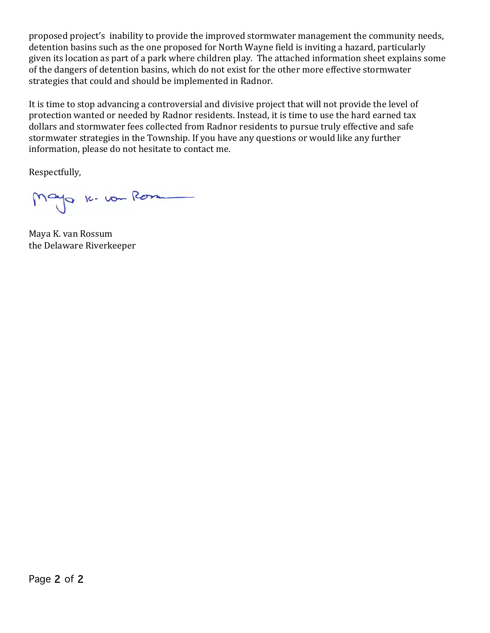proposed project's inability to provide the improved stormwater management the community needs, detention basins such as the one proposed for North Wayne field is inviting a hazard, particularly given its location as part of a park where children play. The attached information sheet explains some of the dangers of detention basins, which do not exist for the other more effective stormwater strategies that could and should be implemented in Radnor.

It is time to stop advancing a controversial and divisive project that will not provide the level of protection wanted or needed by Radnor residents. Instead, it is time to use the hard earned tax dollars and stormwater fees collected from Radnor residents to pursue truly effective and safe stormwater strategies in the Township. If you have any questions or would like any further information, please do not hesitate to contact me.

Respectfully,

Mayo 16. vou Rom

Maya K. van Rossum the Delaware Riverkeeper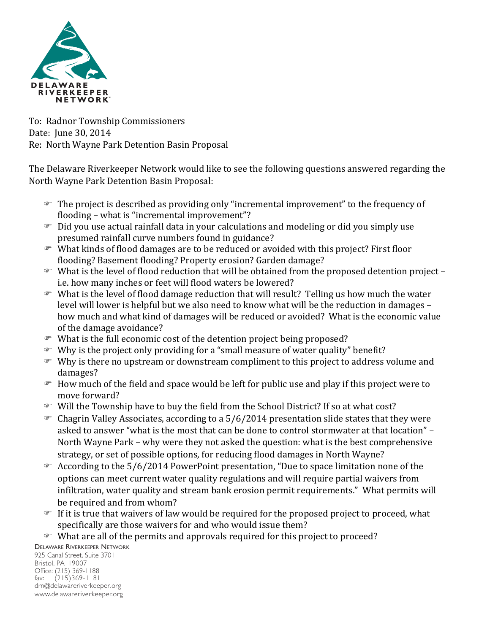

To: Radnor Township Commissioners Date: Iune 30, 2014 Re: North Wayne Park Detention Basin Proposal

The Delaware Riverkeeper Network would like to see the following questions answered regarding the North Wayne Park Detention Basin Proposal:

- $\mathcal{F}$  The project is described as providing only "incremental improvement" to the frequency of flooding - what is "incremental improvement"?
- $\mathcal{F}$  Did you use actual rainfall data in your calculations and modeling or did you simply use presumed rainfall curve numbers found in guidance?
- $\mathcal{F}$  What kinds of flood damages are to be reduced or avoided with this project? First floor flooding? Basement flooding? Property erosion? Garden damage?
- $\mathcal{F}$  What is the level of flood reduction that will be obtained from the proposed detention project i.e. how many inches or feet will flood waters be lowered?
- $\mathcal{F}$  What is the level of flood damage reduction that will result? Telling us how much the water level will lower is helpful but we also need to know what will be the reduction in damages – how much and what kind of damages will be reduced or avoided? What is the economic value of the damage avoidance?
- $\mathcal{F}$  What is the full economic cost of the detention project being proposed?
- $\mathcal{F}$  Why is the project only providing for a "small measure of water quality" benefit?
- $\mathcal{F}$  Why is there no upstream or downstream compliment to this project to address volume and damages?
- $\mathcal{F}$  How much of the field and space would be left for public use and play if this project were to move forward?
- $\mathcal{F}$  Will the Township have to buy the field from the School District? If so at what cost?
- $\infty$  Chagrin Valley Associates, according to a 5/6/2014 presentation slide states that they were asked to answer "what is the most that can be done to control stormwater at that location" -North Wayne Park – why were they not asked the question: what is the best comprehensive strategy, or set of possible options, for reducing flood damages in North Wayne?
- $\degree$  According to the 5/6/2014 PowerPoint presentation, "Due to space limitation none of the options can meet current water quality regulations and will require partial waivers from infiltration, water quality and stream bank erosion permit requirements." What permits will be required and from whom?
- $F$  If it is true that waivers of law would be required for the proposed project to proceed, what specifically are those waivers for and who would issue them?
- $\mathcal{F}$  What are all of the permits and approvals required for this project to proceed?

DELAWARE RIVERKEEPER NETWORK

925 Canal Street, Suite 3701 Bristol, PA 19007 Office: (215) 369-1188 fax: (215)369-1181 drn@delawareriverkeeper.org www.delawareriverkeeper.org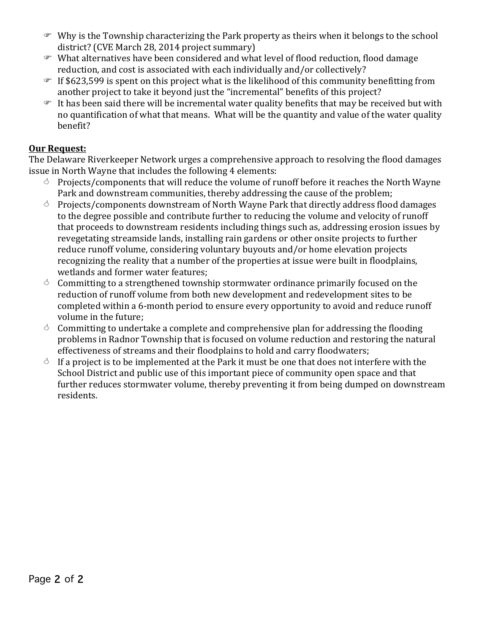- $\mathcal{F}$  Why is the Township characterizing the Park property as theirs when it belongs to the school district? (CVE March 28, 2014 project summary)
- $\blacktriangleright$  What alternatives have been considered and what level of flood reduction, flood damage reduction, and cost is associated with each individually and/or collectively?
- $\mathcal F$  If \$623,599 is spent on this project what is the likelihood of this community benefitting from another project to take it beyond just the "incremental" benefits of this project?
- $\mathcal{F}$  It has been said there will be incremental water quality benefits that may be received but with no quantification of what that means. What will be the quantity and value of the water quality benefit?

# **Our Request:**

The Delaware Riverkeeper Network urges a comprehensive approach to resolving the flood damages issue in North Wayne that includes the following 4 elements:

- $\circ$  Projects/components that will reduce the volume of runoff before it reaches the North Wayne Park and downstream communities, thereby addressing the cause of the problem;
- $\circ$  Projects/components downstream of North Wayne Park that directly address flood damages to the degree possible and contribute further to reducing the volume and velocity of runoff that proceeds to downstream residents including things such as, addressing erosion issues by revegetating streamside lands, installing rain gardens or other onsite projects to further reduce runoff volume, considering voluntary buyouts and/or home elevation projects recognizing the reality that a number of the properties at issue were built in floodplains, wetlands and former water features:
- $\circ$  Committing to a strengthened township stormwater ordinance primarily focused on the reduction of runoff volume from both new development and redevelopment sites to be completed within a 6-month period to ensure every opportunity to avoid and reduce runoff volume in the future;
- $\circ$  Committing to undertake a complete and comprehensive plan for addressing the flooding problems in Radnor Township that is focused on volume reduction and restoring the natural effectiveness of streams and their floodplains to hold and carry floodwaters;
- $\circ$  If a project is to be implemented at the Park it must be one that does not interfere with the School District and public use of this important piece of community open space and that further reduces stormwater volume, thereby preventing it from being dumped on downstream residents.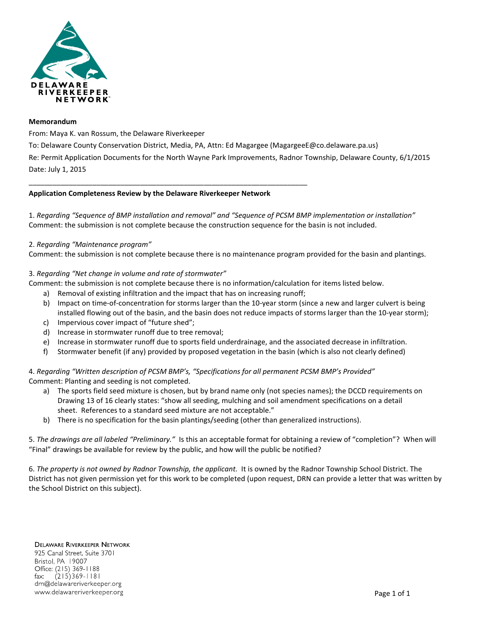

#### **Memorandum**

From: Maya K. van Rossum, the Delaware Riverkeeper

To: Delaware County Conservation District, Media, PA, Attn: Ed Magargee (MagargeeE@co.delaware.pa.us) Re: Permit Application Documents for the North Wayne Park Improvements, Radnor Township, Delaware County, 6/1/2015

## Date: July 1, 2015

## **Application Completeness Review by the Delaware Riverkeeper Network**

\_\_\_\_\_\_\_\_\_\_\_\_\_\_\_\_\_\_\_\_\_\_\_\_\_\_\_\_\_\_\_\_\_\_\_\_\_\_\_\_\_\_\_\_\_\_\_\_\_\_\_\_\_\_\_\_\_\_\_\_\_\_\_\_\_\_\_\_\_\_

1. *Regarding "Sequence of BMP installation and removal" and "Sequence of PCSM BMP implementation or installation"* Comment: the submission is not complete because the construction sequence for the basin is not included.

## 2. *Regarding "Maintenance program"*

Comment: the submission is not complete because there is no maintenance program provided for the basin and plantings.

## 3. *Regarding "Net change in volume and rate of stormwater"*

Comment: the submission is not complete because there is no information/calculation for items listed below.

- a) Removal of existing infiltration and the impact that has on increasing runoff;
- b) Impact on time-of-concentration for storms larger than the 10-year storm (since a new and larger culvert is being installed flowing out of the basin, and the basin does not reduce impacts of storms larger than the 10-year storm);
- c) Impervious cover impact of "future shed";
- d) Increase in stormwater runoff due to tree removal;
- e) Increase in stormwater runoff due to sports field underdrainage, and the associated decrease in infiltration.
- f) Stormwater benefit (if any) provided by proposed vegetation in the basin (which is also not clearly defined)

## 4. *Regarding "Written description of PCSM BMP's, "Specifications for all permanent PCSM BMP's Provided"* Comment: Planting and seeding is not completed.

- a) The sports field seed mixture is chosen, but by brand name only (not species names); the DCCD requirements on Drawing 13 of 16 clearly states: "show all seeding, mulching and soil amendment specifications on a detail sheet. References to a standard seed mixture are not acceptable."
- b) There is no specification for the basin plantings/seeding (other than generalized instructions).

5. *The drawings are all labeled "Preliminary."* Is this an acceptable format for obtaining a review of "completion"? When will "Final" drawings be available for review by the public, and how will the public be notified?

6. *The property is not owned by Radnor Township, the applicant.* It is owned by the Radnor Township School District. The District has not given permission yet for this work to be completed (upon request, DRN can provide a letter that was written by the School District on this subject).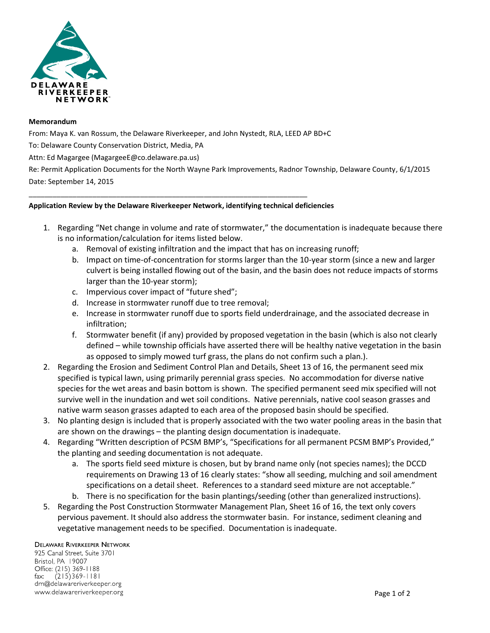

#### **Memorandum**

From: Maya K. van Rossum, the Delaware Riverkeeper, and John Nystedt, RLA, LEED AP BD+C

To: Delaware County Conservation District, Media, PA

Attn: Ed Magargee (MagargeeE@co.delaware.pa.us)

Re: Permit Application Documents for the North Wayne Park Improvements, Radnor Township, Delaware County, 6/1/2015 Date: September 14, 2015

## **Application Review by the Delaware Riverkeeper Network, identifying technical deficiencies**

\_\_\_\_\_\_\_\_\_\_\_\_\_\_\_\_\_\_\_\_\_\_\_\_\_\_\_\_\_\_\_\_\_\_\_\_\_\_\_\_\_\_\_\_\_\_\_\_\_\_\_\_\_\_\_\_\_\_\_\_\_\_\_\_\_\_\_\_\_\_

- 1. Regarding "Net change in volume and rate of stormwater," the documentation is inadequate because there is no information/calculation for items listed below.
	- a. Removal of existing infiltration and the impact that has on increasing runoff;
	- b. Impact on time-of-concentration for storms larger than the 10-year storm (since a new and larger culvert is being installed flowing out of the basin, and the basin does not reduce impacts of storms larger than the 10-year storm);
	- c. Impervious cover impact of "future shed";
	- d. Increase in stormwater runoff due to tree removal;
	- e. Increase in stormwater runoff due to sports field underdrainage, and the associated decrease in infiltration;
	- f. Stormwater benefit (if any) provided by proposed vegetation in the basin (which is also not clearly defined – while township officials have asserted there will be healthy native vegetation in the basin as opposed to simply mowed turf grass, the plans do not confirm such a plan.).
- 2. Regarding the Erosion and Sediment Control Plan and Details, Sheet 13 of 16, the permanent seed mix specified is typical lawn, using primarily perennial grass species. No accommodation for diverse native species for the wet areas and basin bottom is shown. The specified permanent seed mix specified will not survive well in the inundation and wet soil conditions. Native perennials, native cool season grasses and native warm season grasses adapted to each area of the proposed basin should be specified.
- 3. No planting design is included that is properly associated with the two water pooling areas in the basin that are shown on the drawings – the planting design documentation is inadequate.
- 4. Regarding "Written description of PCSM BMP's, "Specifications for all permanent PCSM BMP's Provided," the planting and seeding documentation is not adequate.
	- a. The sports field seed mixture is chosen, but by brand name only (not species names); the DCCD requirements on Drawing 13 of 16 clearly states: "show all seeding, mulching and soil amendment specifications on a detail sheet. References to a standard seed mixture are not acceptable."
	- b. There is no specification for the basin plantings/seeding (other than generalized instructions).
- 5. Regarding the Post Construction Stormwater Management Plan, Sheet 16 of 16, the text only covers pervious pavement. It should also address the stormwater basin. For instance, sediment cleaning and vegetative management needs to be specified. Documentation is inadequate.

#### **DELAWARE RIVERKEEPER NETWORK**

925 Canal Street, Suite 3701 Bristol, PA 19007 Office: (215) 369-1188  $(215)369 - 1181$ fax: drn@delawareriverkeeper.org www.delawareriverkeeper.org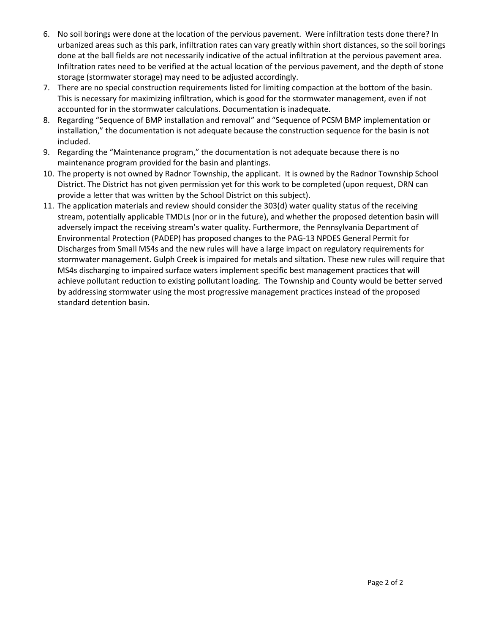- 6. No soil borings were done at the location of the pervious pavement. Were infiltration tests done there? In urbanized areas such as this park, infiltration rates can vary greatly within short distances, so the soil borings done at the ball fields are not necessarily indicative of the actual infiltration at the pervious pavement area. Infiltration rates need to be verified at the actual location of the pervious pavement, and the depth of stone storage (stormwater storage) may need to be adjusted accordingly.
- 7. There are no special construction requirements listed for limiting compaction at the bottom of the basin. This is necessary for maximizing infiltration, which is good for the stormwater management, even if not accounted for in the stormwater calculations. Documentation is inadequate.
- 8. Regarding "Sequence of BMP installation and removal" and "Sequence of PCSM BMP implementation or installation," the documentation is not adequate because the construction sequence for the basin is not included.
- 9. Regarding the "Maintenance program," the documentation is not adequate because there is no maintenance program provided for the basin and plantings.
- 10. The property is not owned by Radnor Township, the applicant. It is owned by the Radnor Township School District. The District has not given permission yet for this work to be completed (upon request, DRN can provide a letter that was written by the School District on this subject).
- 11. The application materials and review should consider the 303(d) water quality status of the receiving stream, potentially applicable TMDLs (nor or in the future), and whether the proposed detention basin will adversely impact the receiving stream's water quality. Furthermore, the Pennsylvania Department of Environmental Protection (PADEP) has proposed changes to the PAG-13 NPDES General Permit for Discharges from Small MS4s and the new rules will have a large impact on regulatory requirements for stormwater management. Gulph Creek is impaired for metals and siltation. These new rules will require that MS4s discharging to impaired surface waters implement specific best management practices that will achieve pollutant reduction to existing pollutant loading. The Township and County would be better served by addressing stormwater using the most progressive management practices instead of the proposed standard detention basin.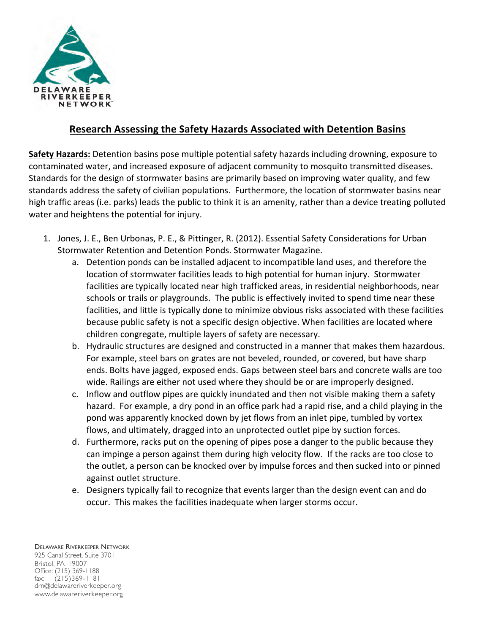

# **Research Assessing the Safety Hazards Associated with Detention Basins**

**Safety Hazards:** Detention basins pose multiple potential safety hazards including drowning, exposure to contaminated water, and increased exposure of adjacent community to mosquito transmitted diseases. Standards for the design of stormwater basins are primarily based on improving water quality, and few standards address the safety of civilian populations. Furthermore, the location of stormwater basins near high traffic areas (i.e. parks) leads the public to think it is an amenity, rather than a device treating polluted water and heightens the potential for injury.

- 1. Jones, J. E., Ben Urbonas, P. E., & Pittinger, R. (2012). Essential Safety Considerations for Urban Stormwater Retention and Detention Ponds. Stormwater Magazine.
	- a. Detention ponds can be installed adjacent to incompatible land uses, and therefore the location of stormwater facilities leads to high potential for human injury. Stormwater facilities are typically located near high trafficked areas, in residential neighborhoods, near schools or trails or playgrounds. The public is effectively invited to spend time near these facilities, and little is typically done to minimize obvious risks associated with these facilities because public safety is not a specific design objective. When facilities are located where children congregate, multiple layers of safety are necessary.
	- b. Hydraulic structures are designed and constructed in a manner that makes them hazardous. For example, steel bars on grates are not beveled, rounded, or covered, but have sharp ends. Bolts have jagged, exposed ends. Gaps between steel bars and concrete walls are too wide. Railings are either not used where they should be or are improperly designed.
	- c. Inflow and outflow pipes are quickly inundated and then not visible making them a safety hazard. For example, a dry pond in an office park had a rapid rise, and a child playing in the pond was apparently knocked down by jet flows from an inlet pipe, tumbled by vortex flows, and ultimately, dragged into an unprotected outlet pipe by suction forces.
	- d. Furthermore, racks put on the opening of pipes pose a danger to the public because they can impinge a person against them during high velocity flow. If the racks are too close to the outlet, a person can be knocked over by impulse forces and then sucked into or pinned against outlet structure.
	- e. Designers typically fail to recognize that events larger than the design event can and do occur. This makes the facilities inadequate when larger storms occur.

DELAWARE RIVERKEEPER NETWORK 925 Canal Street, Suite 3701 Bristol, PA 19007 Office: (215) 369-1188 fax: (215)369-1181 drn@delawareriverkeeper.org www.delawareriverkeeper.org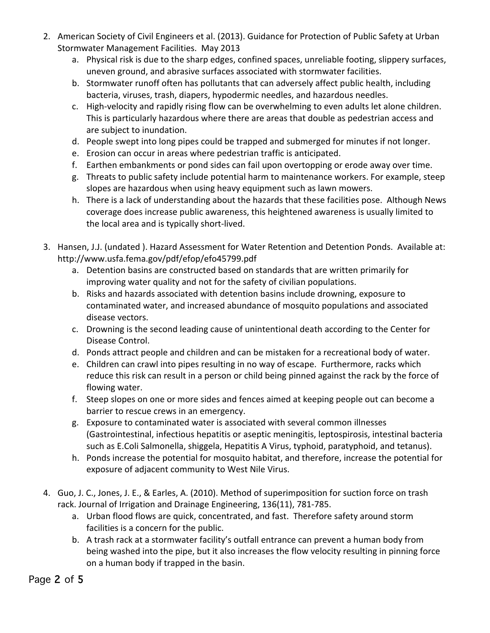- 2. American Society of Civil Engineers et al. (2013). Guidance for Protection of Public Safety at Urban Stormwater Management Facilities. May 2013
	- a. Physical risk is due to the sharp edges, confined spaces, unreliable footing, slippery surfaces, uneven ground, and abrasive surfaces associated with stormwater facilities.
	- b. Stormwater runoff often has pollutants that can adversely affect public health, including bacteria, viruses, trash, diapers, hypodermic needles, and hazardous needles.
	- c. High-velocity and rapidly rising flow can be overwhelming to even adults let alone children. This is particularly hazardous where there are areas that double as pedestrian access and are subject to inundation.
	- d. People swept into long pipes could be trapped and submerged for minutes if not longer.
	- e. Erosion can occur in areas where pedestrian traffic is anticipated.
	- f. Earthen embankments or pond sides can fail upon overtopping or erode away over time.
	- g. Threats to public safety include potential harm to maintenance workers. For example, steep slopes are hazardous when using heavy equipment such as lawn mowers.
	- h. There is a lack of understanding about the hazards that these facilities pose. Although News coverage does increase public awareness, this heightened awareness is usually limited to the local area and is typically short-lived.
- 3. Hansen, J.J. (undated ). Hazard Assessment for Water Retention and Detention Ponds. Available at: http://www.usfa.fema.gov/pdf/efop/efo45799.pdf
	- a. Detention basins are constructed based on standards that are written primarily for improving water quality and not for the safety of civilian populations.
	- b. Risks and hazards associated with detention basins include drowning, exposure to contaminated water, and increased abundance of mosquito populations and associated disease vectors.
	- c. Drowning is the second leading cause of unintentional death according to the Center for Disease Control.
	- d. Ponds attract people and children and can be mistaken for a recreational body of water.
	- e. Children can crawl into pipes resulting in no way of escape. Furthermore, racks which reduce this risk can result in a person or child being pinned against the rack by the force of flowing water.
	- f. Steep slopes on one or more sides and fences aimed at keeping people out can become a barrier to rescue crews in an emergency.
	- g. Exposure to contaminated water is associated with several common illnesses (Gastrointestinal, infectious hepatitis or aseptic meningitis, leptospirosis, intestinal bacteria such as E.Coli Salmonella, shiggela, Hepatitis A Virus, typhoid, paratyphoid, and tetanus).
	- h. Ponds increase the potential for mosquito habitat, and therefore, increase the potential for exposure of adjacent community to West Nile Virus.
- 4. Guo, J. C., Jones, J. E., & Earles, A. (2010). Method of superimposition for suction force on trash rack. Journal of Irrigation and Drainage Engineering, 136(11), 781-785.
	- a. Urban flood flows are quick, concentrated, and fast. Therefore safety around storm facilities is a concern for the public.
	- b. A trash rack at a stormwater facility's outfall entrance can prevent a human body from being washed into the pipe, but it also increases the flow velocity resulting in pinning force on a human body if trapped in the basin.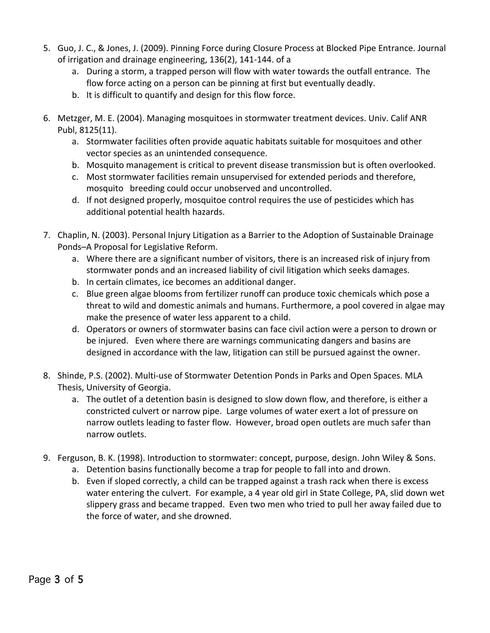- 5. Guo, J. C., & Jones, J. (2009). Pinning Force during Closure Process at Blocked Pipe Entrance. Journal of irrigation and drainage engineering,  $136(2)$ ,  $141-144$ . of a
	- a. During a storm, a trapped person will flow with water towards the outfall entrance. The flow force acting on a person can be pinning at first but eventually deadly.
	- b. It is difficult to quantify and design for this flow force.
- 6. Metzger, M. E. (2004). Managing mosquitoes in stormwater treatment devices. Univ. Calif ANR Publ, 8125(11).
	- a. Stormwater facilities often provide aquatic habitats suitable for mosquitoes and other vector species as an unintended consequence.
	- b. Mosquito management is critical to prevent disease transmission but is often overlooked.
	- c. Most stormwater facilities remain unsupervised for extended periods and therefore, mosquito breeding could occur unobserved and uncontrolled.
	- d. If not designed properly, mosquitoe control requires the use of pesticides which has additional potential health hazards.
- 7. Chaplin, N. (2003). Personal Injury Litigation as a Barrier to the Adoption of Sustainable Drainage Ponds-A Proposal for Legislative Reform.
	- a. Where there are a significant number of visitors, there is an increased risk of injury from stormwater ponds and an increased liability of civil litigation which seeks damages.
	- b. In certain climates, ice becomes an additional danger.
	- c. Blue green algae blooms from fertilizer runoff can produce toxic chemicals which pose a threat to wild and domestic animals and humans. Furthermore, a pool covered in algae may make the presence of water less apparent to a child.
	- d. Operators or owners of stormwater basins can face civil action were a person to drown or be injured. Even where there are warnings communicating dangers and basins are designed in accordance with the law, litigation can still be pursued against the owner.
- 8. Shinde, P.S. (2002). Multi-use of Stormwater Detention Ponds in Parks and Open Spaces. MLA Thesis, University of Georgia.
	- a. The outlet of a detention basin is designed to slow down flow, and therefore, is either a constricted culvert or narrow pipe. Large volumes of water exert a lot of pressure on narrow outlets leading to faster flow. However, broad open outlets are much safer than narrow outlets.
- 9. Ferguson, B. K. (1998). Introduction to stormwater: concept, purpose, design. John Wiley & Sons.
	- a. Detention basins functionally become a trap for people to fall into and drown.
	- b. Even if sloped correctly, a child can be trapped against a trash rack when there is excess water entering the culvert. For example, a 4 year old girl in State College, PA, slid down wet slippery grass and became trapped. Even two men who tried to pull her away failed due to the force of water, and she drowned.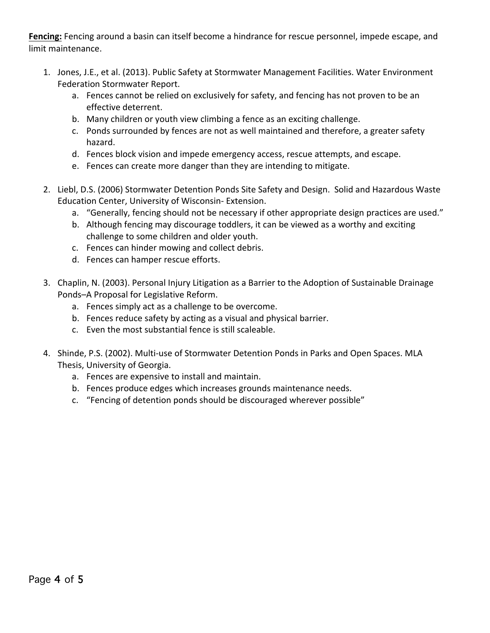Fencing: Fencing around a basin can itself become a hindrance for rescue personnel, impede escape, and limit maintenance. 

- 1. Jones, J.E., et al. (2013). Public Safety at Stormwater Management Facilities. Water Environment Federation Stormwater Report.
	- a. Fences cannot be relied on exclusively for safety, and fencing has not proven to be an effective deterrent.
	- b. Many children or youth view climbing a fence as an exciting challenge.
	- c. Ponds surrounded by fences are not as well maintained and therefore, a greater safety hazard.
	- d. Fences block vision and impede emergency access, rescue attempts, and escape.
	- e. Fences can create more danger than they are intending to mitigate.
- 2. Liebl, D.S. (2006) Stormwater Detention Ponds Site Safety and Design. Solid and Hazardous Waste Education Center, University of Wisconsin- Extension.
	- a. "Generally, fencing should not be necessary if other appropriate design practices are used."
	- b. Although fencing may discourage toddlers, it can be viewed as a worthy and exciting challenge to some children and older youth.
	- c. Fences can hinder mowing and collect debris.
	- d. Fences can hamper rescue efforts.
- 3. Chaplin, N. (2003). Personal Injury Litigation as a Barrier to the Adoption of Sustainable Drainage Ponds-A Proposal for Legislative Reform.
	- a. Fences simply act as a challenge to be overcome.
	- b. Fences reduce safety by acting as a visual and physical barrier.
	- c. Even the most substantial fence is still scaleable.
- 4. Shinde, P.S. (2002). Multi-use of Stormwater Detention Ponds in Parks and Open Spaces. MLA Thesis, University of Georgia.
	- a. Fences are expensive to install and maintain.
	- b. Fences produce edges which increases grounds maintenance needs.
	- c. "Fencing of detention ponds should be discouraged wherever possible"